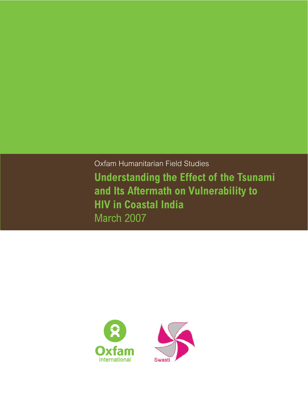Oxfam Humanitarian Field Studies **Understanding the Effect of the Tsunami and Its Aftermath on Vulnerability to HIV in Coastal India** March 2007



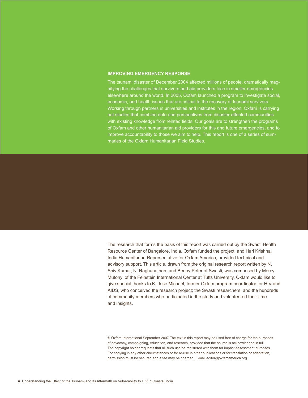### **Improving Emergency Response**

The tsunami disaster of December 2004 affected millions of people, dramatically magnifying the challenges that survivors and aid providers face in smaller emergencies elsewhere around the world. In 2005, Oxfam launched a program to investigate social, economic, and health issues that are critical to the recovery of tsunami survivors. Working through partners in universities and institutes in the region, Oxfam is carrying out studies that combine data and perspectives from disaster-affected communities with existing knowledge from related fields. Our goals are to strengthen the programs of Oxfam and other humanitarian aid providers for this and future emergencies, and to improve accountability to those we aim to help. This report is one of a series of summaries of the Oxfam Humanitarian Field Studies.

The research that forms the basis of this report was carried out by the Swasti Health Resource Center of Bangalore, India. Oxfam funded the project, and Hari Krishna, India Humanitarian Representative for Oxfam America, provided technical and advisory support. This article, drawn from the original research report written by N. Shiv Kumar, N. Raghunathan, and Benoy Peter of Swasti, was composed by Mercy Mutonyi of the Feinstein International Center at Tufts University. Oxfam would like to give special thanks to K. Jose Michael, former Oxfam program coordinator for HIV and AIDS, who conceived the research project; the Swasti researchers; and the hundreds of community members who participated in the study and volunteered their time and insights.

© Oxfam International September 2007 The text in this report may be used free of charge for the purposes of advocacy, campaigning, education, and research, provided that the source is acknowledged in full. The copyright holder requests that all such use be registered with them for impact-assessment purposes. For copying in any other circumstances or for re-use in other publications or for translation or adaptation, permission must be secured and a fee may be charged. E-mail editor@oxfamamerica.org.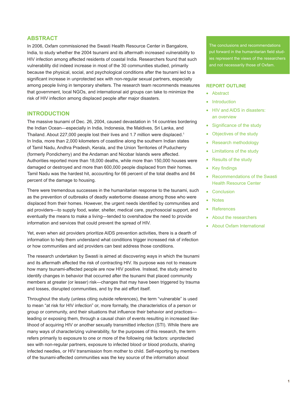# **ABSTRACT**

In 2006, Oxfam commissioned the Swasti Health Resource Center in Bangalore, India, to study whether the 2004 tsunami and its aftermath increased vulnerability to HIV infection among affected residents of coastal India. Researchers found that such vulnerability did indeed increase in most of the 30 communities studied, primarily because the physical, social, and psychological conditions after the tsunami led to a significant increase in unprotected sex with non-regular sexual partners, especially among people living in temporary shelters. The research team recommends measures that government, local NGOs, and international aid groups can take to minimize the risk of HIV infection among displaced people after major disasters.

# **INTRODUCTION**

The massive tsunami of Dec. 26, 2004, caused devastation in 14 countries bordering the Indian Ocean—especially in India, Indonesia, the Maldives, Sri Lanka, and Thailand. About 227,000 people lost their lives and 1.7 million were displaced.<sup>1</sup> In India, more than 2,000 kilometers of coastline along the southern Indian states of Tamil Nadu, Andhra Pradesh, Kerala, and the Union Territories of Puducherry (formerly Pondicherry) and the Andaman and Nicobar Islands were affected. Authorities reported more than 18,000 deaths, while more than 150,000 houses were damaged or destroyed and more than 600,000 people displaced from their homes. Tamil Nadu was the hardest hit, accounting for 66 percent of the total deaths and 84 percent of the damage to housing.

There were tremendous successes in the humanitarian response to the tsunami, such as the prevention of outbreaks of deadly waterborne disease among those who were displaced from their homes. However, the urgent needs identified by communities and aid providers—to supply food, water, shelter, medical care, psychosocial support, and eventually the means to make a living—tended to overshadow the need to provide information and services that could prevent the spread of HIV.

Yet, even when aid providers prioritize AIDS prevention activities, there is a dearth of information to help them understand what conditions trigger increased risk of infection or how communities and aid providers can best address those conditions.

The research undertaken by Swasti is aimed at discovering ways in which the tsunami and its aftermath affected the risk of contracting HIV. Its purpose was not to measure how many tsunami-affected people are now HIV positive. Instead, the study aimed to identify changes in behavior that occurred after the tsunami that placed community members at greater (or lesser) risk—changes that may have been triggered by trauma and losses, disrupted communities, and by the aid effort itself.

Throughout the study (unless citing outside references), the term "vulnerable" is used to mean "at risk for HIV infection" or, more formally, the characteristics of a person or group or community, and their situations that influence their behavior and practices leading or exposing them, through a causal chain of events resulting in increased likelihood of acquiring HIV or another sexually transmitted infection (STI). While there are many ways of characterizing vulnerability, for the purposes of this research, the term refers primarily to exposure to one or more of the following risk factors: unprotected sex with non-regular partners, exposure to infected blood or blood products, sharing infected needles, or HIV transmission from mother to child. Self-reporting by members of the tsunami-affected communities was the key source of the information about

The conclusions and recommendations put forward in the humanitarian field studies represent the views of the researchers and not necessarily those of Oxfam.

## **Report Outline**

- • Abstract
- Introduction
- HIV and AIDS in disasters: an overview
- Significance of the study
- Objectives of the study
- Research methodology
- • Limitations of the study
- Results of the study
- Key findings
- Recommendations of the Swasti Health Resource Center
- Conclusion
- • Notes
- • References
- About the researchers
- • About Oxfam International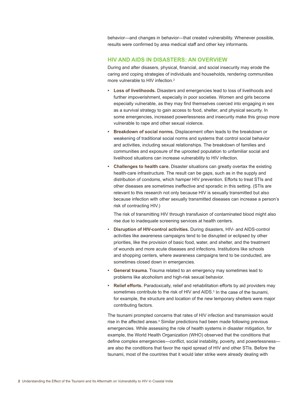behavior—and changes in behavior—that created vulnerability. Whenever possible, results were confirmed by area medical staff and other key informants.

## **HIV AND AIDS IN DISASTERS: AN OVERVIEW**

During and after disasers, physical, financial, and social insecurity may erode the caring and coping strategies of individuals and households, rendering communities more vulnerable to HIV infection.<sup>2</sup>

- **• Loss of livelihoods.** Disasters and emergencies lead to loss of livelihoods and further impoverishment, especially in poor societies. Women and girls become especially vulnerable, as they may find themselves coerced into engaging in sex as a survival strategy to gain access to food, shelter, and physical security. In some emergencies, increased powerlessness and insecurity make this group more vulnerable to rape and other sexual violence.
- **• Breakdown of social norms.** Displacement often leads to the breakdown or weakening of traditional social norms and systems that control social behavior and activities, including sexual relationships. The breakdown of families and communities and exposure of the uprooted population to unfamiliar social and livelihood situations can increase vulnerability to HIV infection.
- **• Challenges to health care.** Disaster situations can greatly overtax the existing health-care infrastructure. The result can be gaps, such as in the supply and distribution of condoms, which hamper HIV prevention. Efforts to treat STIs and other diseases are sometimes ineffective and sporadic in this setting. (STIs are relevant to this research not only because HIV is sexually transmitted but also because infection with other sexually transmitted diseases can increase a person's risk of contracting HIV.)

 The risk of transmitting HIV through transfusion of contaminated blood might also rise due to inadequate screening services at health centers.

- **Disruption of HIV-control activities.** During disasters, HIV- and AIDS-control activities like awareness campaigns tend to be disrupted or eclipsed by other priorities, like the provision of basic food, water, and shelter, and the treatment of wounds and more acute diseases and infections. Institutions like schools and shopping centers, where awareness campaigns tend to be conducted, are sometimes closed down in emergencies.
- **• General trauma.** Trauma related to an emergency may sometimes lead to problems like alcoholism and high-risk sexual behavior.
- **• Relief efforts.** Paradoxically, relief and rehabilitation efforts by aid providers may sometimes contribute to the risk of HIV and AIDS.<sup>3</sup> In the case of the tsunami, for example, the structure and location of the new temporary shelters were major contributing factors.

The tsunami prompted concerns that rates of HIV infection and transmission would rise in the affected areas.<sup>4</sup> Similar predictions had been made following previous emergencies. While assessing the role of health systems in disaster mitigation, for example, the World Health Organization (WHO) observed that the conditions that define complex emergencies—conflict, social instability, poverty, and powerlessness are also the conditions that favor the rapid spread of HIV and other STIs. Before the tsunami, most of the countries that it would later strike were already dealing with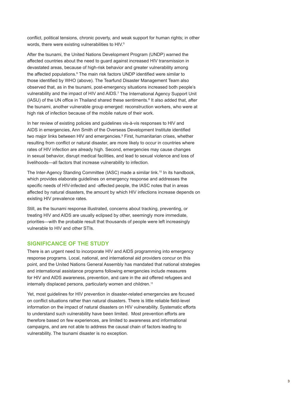conflict, political tensions, chronic poverty, and weak support for human rights; in other words, there were existing vulnerabilities to HIV.<sup>5</sup>

After the tsunami, the United Nations Development Program (UNDP) warned the affected countries about the need to guard against increased HIV transmission in devastated areas, because of high-risk behavior and greater vulnerability among the affected populations.<sup>6</sup> The main risk factors UNDP identified were similar to those identified by WHO (above). The Tearfund Disaster Management Team also observed that, as in the tsunami, post-emergency situations increased both people's vulnerability and the impact of HIV and AIDS.7 The International Agency Support Unit (IASU) of the UN office in Thailand shared these sentiments.<sup>8</sup> It also added that, after the tsunami, another vulnerable group emerged: reconstruction workers, who were at high risk of infection because of the mobile nature of their work.

In her review of existing policies and guidelines vis-à-vis responses to HIV and AIDS in emergencies, Ann Smith of the Overseas Development Institute identified two major links between HIV and emergencies.<sup>9</sup> First, humanitarian crises, whether resulting from conflict or natural disaster, are more likely to occur in countries where rates of HIV infection are already high. Second, emergencies may cause changes in sexual behavior, disrupt medical facilities, and lead to sexual violence and loss of livelihoods—all factors that increase vulnerability to infection.

The Inter-Agency Standing Committee (IASC) made a similar link.<sup>10</sup> In its handbook, which provides elaborate guidelines on emergency response and addresses the specific needs of HIV-infected and -affected people, the IASC notes that in areas affected by natural disasters, the amount by which HIV infections increase depends on existing HIV prevalence rates.

Still, as the tsunami response illustrated, concerns about tracking, preventing, or treating HIV and AIDS are usually eclipsed by other, seemingly more immediate, priorities—with the probable result that thousands of people were left increasingly vulnerable to HIV and other STIs.

# **SIGNIFICANCE OF THE STUDY**

There is an urgent need to incorporate HIV and AIDS programming into emergency response programs. Local, national, and international aid providers concur on this point, and the United Nations General Assembly has mandated that national strategies and international assistance programs following emergencies include measures for HIV and AIDS awareness, prevention, and care in the aid offered refugees and internally displaced persons, particularly women and children.<sup>11</sup>

Yet, most guidelines for HIV prevention in disaster-related emergencies are focused on conflict situations rather than natural disasters. There is little reliable field-level information on the impact of natural disasters on HIV vulnerability. Systematic efforts to understand such vulnerability have been limited. Most prevention efforts are therefore based on few experiences, are limited to awareness and informational campaigns, and are not able to address the causal chain of factors leading to vulnerability. The tsunami disaster is no exception.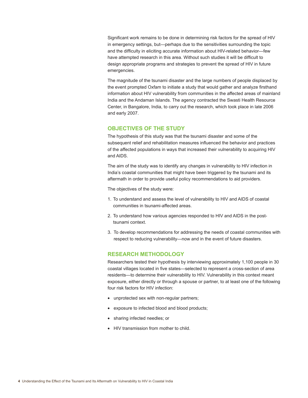Significant work remains to be done in determining risk factors for the spread of HIV in emergency settings, but—perhaps due to the sensitivities surrounding the topic and the difficulty in eliciting accurate information about HIV-related behavior—few have attempted research in this area. Without such studies it will be difficult to design appropriate programs and strategies to prevent the spread of HIV in future emergencies.

The magnitude of the tsunami disaster and the large numbers of people displaced by the event prompted Oxfam to initiate a study that would gather and analyze firsthand information about HIV vulnerability from communities in the affected areas of mainland India and the Andaman Islands. The agency contracted the Swasti Health Resource Center, in Bangalore, India, to carry out the research, which took place in late 2006 and early 2007.

# **OBJECTIVES OF THE STUDY**

The hypothesis of this study was that the tsunami disaster and some of the subsequent relief and rehabilitation measures influenced the behavior and practices of the affected populations in ways that increased their vulnerability to acquiring HIV and AIDS.

The aim of the study was to identify any changes in vulnerability to HIV infection in India's coastal communities that might have been triggered by the tsunami and its aftermath in order to provide useful policy recommendations to aid providers.

The objectives of the study were:

- 1. To understand and assess the level of vulnerability to HIV and AIDS of coastal communities in tsunami-affected areas.
- 2. To understand how various agencies responded to HIV and AIDS in the posttsunami context.
- 3. To develop recommendations for addressing the needs of coastal communities with respect to reducing vulnerability—now and in the event of future disasters.

# **RESEARCH METHODOLOGY**

Researchers tested their hypothesis by interviewing approximately 1,100 people in 30 coastal villages located in five states—selected to represent a cross-section of area residents—to determine their vulnerability to HIV. Vulnerability in this context meant exposure, either directly or through a spouse or partner, to at least one of the following four risk factors for HIV infection:

- unprotected sex with non-regular partners;
- exposure to infected blood and blood products;
- sharing infected needles; or
- HIV transmission from mother to child.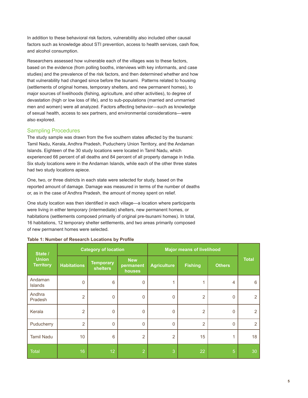In addition to these behavioral risk factors, vulnerability also included other causal factors such as knowledge about STI prevention, access to health services, cash flow, and alcohol consumption.

Researchers assessed how vulnerable each of the villages was to these factors, based on the evidence (from polling booths, interviews with key informants, and case studies) and the prevalence of the risk factors, and then determined whether and how that vulnerability had changed since before the tsunami. Patterns related to housing (settlements of original homes, temporary shelters, and new permanent homes), to major sources of livelihoods (fishing, agriculture, and other activities), to degree of devastation (high or low loss of life), and to sub-populations (married and unmarried men and women) were all analyzed. Factors affecting behavior—such as knowledge of sexual health, access to sex partners, and environmental considerations—were also explored.

# Sampling Procedures

The study sample was drawn from the five southern states affected by the tsunami: Tamil Nadu, Kerala, Andhra Pradesh, Puducherry Union Territory, and the Andaman Islands. Eighteen of the 30 study locations were located in Tamil Nadu, which experienced 66 percent of all deaths and 84 percent of all property damage in India. Six study locations were in the Andaman Islands, while each of the other three states had two study locations apiece.

One, two, or three districts in each state were selected for study, based on the reported amount of damage. Damage was measured in terms of the number of deaths or, as in the case of Andhra Pradesh, the amount of money spent on relief.

One study location was then identified in each village—a location where participants were living in either temporary (intermediate) shelters, new permanent homes, or habitations (settlements composed primarily of original pre-tsunami homes). In total, 16 habitations, 12 temporary shelter settlements, and two areas primarily composed of new permanent homes were selected.

| State /<br><b>Union</b><br><b>Territory</b> | <b>Category of location</b> |                                     |                                   | <b>Major means of livelihood</b> |                |               |                |
|---------------------------------------------|-----------------------------|-------------------------------------|-----------------------------------|----------------------------------|----------------|---------------|----------------|
|                                             | <b>Habitations</b>          | <b>Temporary</b><br><b>shelters</b> | <b>New</b><br>permanent<br>houses | <b>Agriculture</b>               | <b>Fishing</b> | <b>Others</b> | <b>Total</b>   |
| Andaman<br><b>Islands</b>                   | $\mathbf 0$                 | 6                                   | $\Omega$                          |                                  |                | 4             | 6              |
| Andhra<br>Pradesh                           | $\overline{2}$              | $\mathbf 0$                         | $\Omega$                          | $\mathbf 0$                      | $\overline{2}$ | $\mathbf{0}$  | $\overline{2}$ |
| Kerala                                      | $\overline{2}$              | $\mathbf{0}$                        | $\Omega$                          | $\mathbf 0$                      | $\overline{2}$ | $\mathbf 0$   | 2              |
| Puducherry                                  | $\overline{2}$              | $\mathbf{0}$                        | $\Omega$                          | $\mathbf{0}$                     | $\overline{2}$ | $\Omega$      | $\overline{2}$ |
| <b>Tamil Nadu</b>                           | 10                          | 6                                   | $\overline{2}$                    | $\overline{2}$                   | 15             | 1             | 18             |
| <b>Total</b>                                | 16                          | 12                                  | $\overline{2}$                    | З,                               | 22             | 5             | 30             |

### **Table 1: Number of Research Locations by Profile**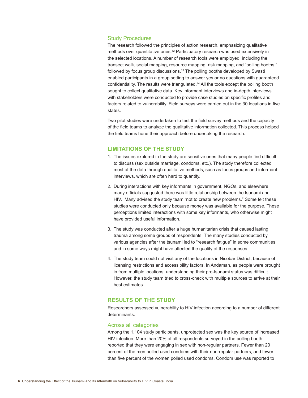# Study Procedures

The research followed the principles of action research, emphasizing qualitative methods over quantitative ones.<sup>12</sup> Participatory research was used extensively in the selected locations. A number of research tools were employed, including the transect walk, social mapping, resource mapping, risk mapping, and "polling booths," followed by focus group discussions.<sup>13</sup> The polling booths developed by Swasti enabled participants in a group setting to answer yes or no questions with guaranteed confidentiality. The results were triangulated.14 All the tools except the polling booth sought to collect qualitative data. Key informant interviews and in-depth interviews with stakeholders were conducted to provide case studies on specific profiles and factors related to vulnerability. Field surveys were carried out in the 30 locations in five states.

Two pilot studies were undertaken to test the field survey methods and the capacity of the field teams to analyze the qualitative information collected. This process helped the field teams hone their approach before undertaking the research.

# **LIMITATIONS OF THE STUDY**

- 1. The issues explored in the study are sensitive ones that many people find difficult to discuss (sex outside marriage, condoms, etc.). The study therefore collected most of the data through qualitative methods, such as focus groups and informant interviews, which are often hard to quantify.
- 2. During interactions with key informants in government, NGOs, and elsewhere, many officials suggested there was little relationship between the tsunami and HIV. Many advised the study team "not to create new problems." Some felt these studies were conducted only because money was available for the purpose. These perceptions limited interactions with some key informants, who otherwise might have provided useful information.
- 3. The study was conducted after a huge humanitarian crisis that caused lasting trauma among some groups of respondents. The many studies conducted by various agencies after the tsunami led to "research fatigue" in some communities and in some ways might have affected the quality of the responses.
- 4. The study team could not visit any of the locations in Nicobar District, because of licensing restrictions and accessibility factors. In Andaman, as people were brought in from multiple locations, understanding their pre-tsunami status was difficult. However, the study team tried to cross-check with multiple sources to arrive at their best estimates.

# **RESULTS OF THE STUDY**

Researchers assessed vulnerability to HIV infection according to a number of different determinants.

# Across all categories

Among the 1,104 study participants, unprotected sex was the key source of increased HIV infection. More than 20% of all respondents surveyed in the polling booth reported that they were engaging in sex with non-regular partners. Fewer than 20 percent of the men polled used condoms with their non-regular partners, and fewer than five percent of the women polled used condoms. Condom use was reported to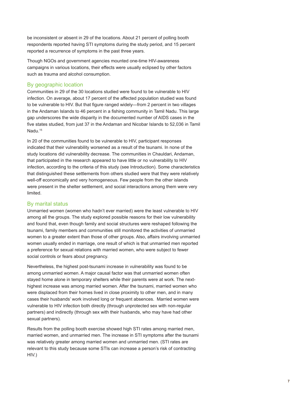be inconsistent or absent in 29 of the locations. About 21 percent of polling booth respondents reported having STI symptoms during the study period, and 15 percent reported a recurrence of symptoms in the past three years.

Though NGOs and government agencies mounted one-time HIV-awareness campaigns in various locations, their effects were usually eclipsed by other factors such as trauma and alcohol consumption.

# By geographic location

Communities in 29 of the 30 locations studied were found to be vulnerable to HIV infection. On average, about 17 percent of the affected population studied was found to be vulnerable to HIV. But that figure ranged widely—from 2 percent in two villages in the Andaman Islands to 46 percent in a fishing community in Tamil Nadu. This large gap underscores the wide disparity in the documented number of AIDS cases in the five states studied, from just 37 in the Andaman and Nicobar Islands to 52,036 in Tamil Nadu.<sup>15</sup>

In 20 of the communities found to be vulnerable to HIV, participant responses indicated that their vulnerability worsened as a result of the tsunami. In none of the study locations did vulnerability decrease. The communities in Chauldari, Andaman, that participated in the research appeared to have little or no vulnerability to HIV infection, according to the criteria of this study (see Introduction). Some characteristics that distinguished these settlements from others studied were that they were relatively well-off economically and very homogeneous. Few people from the other islands were present in the shelter settlement, and social interactions among them were very limited.

## By marital status

Unmarried women (women who hadn't ever married) were the least vulnerable to HIV among all the groups. The study explored possible reasons for their low vulnerability and found that, even though family and social structures were reshaped following the tsunami, family members and communities still monitored the activities of unmarried women to a greater extent than those of other groups. Also, affairs involving unmarried women usually ended in marriage, one result of which is that unmarried men reported a preference for sexual relations with married women, who were subject to fewer social controls or fears about pregnancy.

Nevertheless, the highest post-tsunami increase in vulnerability was found to be among unmarried women. A major causal factor was that unmarried women often stayed home alone in temporary shelters while their parents were at work. The nexthighest increase was among married women. After the tsunami, married women who were displaced from their homes lived in close proximity to other men, and in many cases their husbands' work involved long or frequent absences. Married women were vulnerable to HIV infection both directly (through unprotected sex with non-regular partners) and indirectly (through sex with their husbands, who may have had other sexual partners).

Results from the polling booth exercise showed high STI rates among married men, married women, and unmarried men. The increase in STI symptoms after the tsunami was relatively greater among married women and unmarried men. (STI rates are relevant to this study because some STIs can increase a person's risk of contracting HIV.)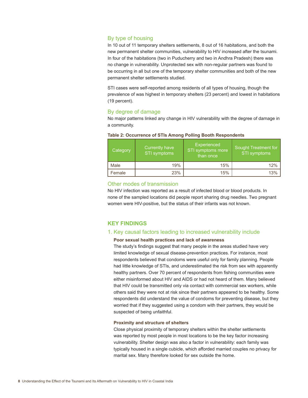# By type of housing

In 10 out of 11 temporary shelters settlements, 8 out of 16 habitations, and both the new permanent shelter communities, vulnerability to HIV increased after the tsunami. In four of the habitations (two in Puducherry and two in Andhra Pradesh) there was no change in vulnerability. Unprotected sex with non-regular partners was found to be occurring in all but one of the temporary shelter communities and both of the new permanent shelter settlements studied.

STI cases were self-reported among residents of all types of housing, though the prevalence of was highest in temporary shelters (23 percent) and lowest in habitations (19 percent).

# By degree of damage

No major patterns linked any change in HIV vulnerability with the degree of damage in a community.

| Category | Currently have<br>STI symptoms | Experienced<br>STI symptoms more<br>than once | Sought Treatment for<br>STI symptoms |
|----------|--------------------------------|-----------------------------------------------|--------------------------------------|
| Male     | 19%                            | 15%                                           | 12%                                  |
| Female   | 23%                            | 15%                                           | 13%                                  |

### **Table 2: Occurrence of STIs Among Polling Booth Respondents**

## Other modes of transmission

No HIV infection was reported as a result of infected blood or blood products. In none of the sampled locations did people report sharing drug needles. Two pregnant women were HIV-positive, but the status of their infants was not known.

# **KEY FINDINGS**

## 1. Key causal factors leading to increased vulnerability include

## **Poor sexual health practices and lack of awareness**

The study's findings suggest that many people in the areas studied have very limited knowledge of sexual disease-prevention practices. For instance, most respondents believed that condoms were useful only for family planning. People had little knowledge of STIs, and underestimated the risk from sex with apparently healthy partners. Over 70 percent of respondents from fishing communities were either misinformed about HIV and AIDS or had not heard of them. Many believed that HIV could be transmitted only via contact with commercial sex workers, while others said they were not at risk since their partners appeared to be healthy. Some respondents did understand the value of condoms for preventing disease, but they worried that if they suggested using a condom with their partners, they would be suspected of being unfaithful.

### **Proximity and structure of shelters**

Close physical proximity of temporary shelters within the shelter settlements was reported by most people in most locations to be the key factor increasing vulnerability. Shelter design was also a factor in vulnerability: each family was typically housed in a single cubicle, which afforded married couples no privacy for marital sex. Many therefore looked for sex outside the home.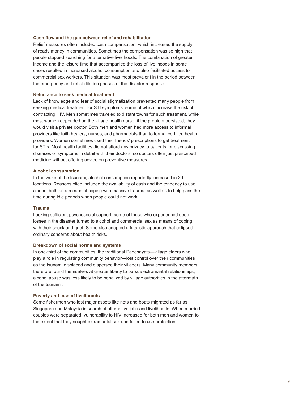### **Cash flow and the gap between relief and rehabilitation**

Relief measures often included cash compensation, which increased the supply of ready money in communities. Sometimes the compensation was so high that people stopped searching for alternative livelihoods. The combination of greater income and the leisure time that accompanied the loss of livelihoods in some cases resulted in increased alcohol consumption and also facilitated access to commercial sex workers. This situation was most prevalent in the period between the emergency and rehabilitation phases of the disaster response.

### **Reluctance to seek medical treatment**

Lack of knowledge and fear of social stigmatization prevented many people from seeking medical treatment for STI symptoms, some of which increase the risk of contracting HIV. Men sometimes traveled to distant towns for such treatment, while most women depended on the village health nurse; if the problem persisted, they would visit a private doctor. Both men and women had more access to informal providers like faith healers, nurses, and pharmacists than to formal certified health providers. Women sometimes used their friends' prescriptions to get treatment for STIs. Most health facilities did not afford any privacy to patients for discussing diseases or symptoms in detail with their doctors, so doctors often just prescribed medicine without offering advice on preventive measures.

#### **Alcohol consumption**

In the wake of the tsunami, alcohol consumption reportedly increased in 29 locations. Reasons cited included the availability of cash and the tendency to use alcohol both as a means of coping with massive trauma, as well as to help pass the time during idle periods when people could not work.

#### **Trauma**

Lacking sufficient psychosocial support, some of those who experienced deep losses in the disaster turned to alcohol and commercial sex as means of coping with their shock and grief. Some also adopted a fatalistic approach that eclipsed ordinary concerns about health risks.

#### **Breakdown of social norms and systems**

In one-third of the communities, the traditional Panchayats—village elders who play a role in regulating community behavior—lost control over their communities as the tsunami displaced and dispersed their villagers. Many community members therefore found themselves at greater liberty to pursue extramarital relationships; alcohol abuse was less likely to be penalized by village authorities in the aftermath of the tsunami.

### **Poverty and loss of livelihoods**

Some fishermen who lost major assets like nets and boats migrated as far as Singapore and Malaysia in search of alternative jobs and livelihoods. When married couples were separated, vulnerability to HIV increased for both men and women to the extent that they sought extramarital sex and failed to use protection.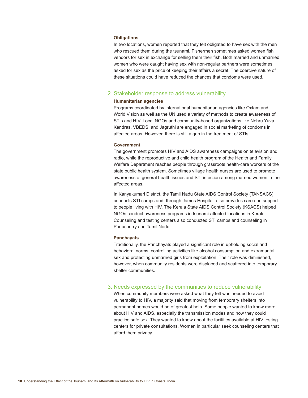### **Obligations**

In two locations, women reported that they felt obligated to have sex with the men who rescued them during the tsunami. Fishermen sometimes asked women fish vendors for sex in exchange for selling them their fish. Both married and unmarried women who were caught having sex with non-regular partners were sometimes asked for sex as the price of keeping their affairs a secret. The coercive nature of these situations could have reduced the chances that condoms were used.

## 2. Stakeholder response to address vulnerability

### **Humanitarian agencies**

Programs coordinated by international humanitarian agencies like Oxfam and World Vision as well as the UN used a variety of methods to create awareness of STIs and HIV. Local NGOs and community-based organizations like Nehru Yuva Kendras, VBEDS, and Jagruthi are engaged in social marketing of condoms in affected areas. However, there is still a gap in the treatment of STIs.

#### **Government**

The government promotes HIV and AIDS awareness campaigns on television and radio, while the reproductive and child health program of the Health and Family Welfare Department reaches people through grassroots health-care workers of the state public health system. Sometimes village health nurses are used to promote awareness of general health issues and STI infection among married women in the affected areas.

In Kanyakumari District, the Tamil Nadu State AIDS Control Society (TANSACS) conducts STI camps and, through James Hospital, also provides care and support to people living with HIV. The Kerala State AIDS Control Society (KSACS) helped NGOs conduct awareness programs in tsunami-affected locations in Kerala. Counseling and testing centers also conducted STI camps and counseling in Puducherry and Tamil Nadu.

### **Panchayats**

Traditionally, the Panchayats played a significant role in upholding social and behavioral norms, controlling activities like alcohol consumption and extramarital sex and protecting unmarried girls from exploitation. Their role was diminished, however, when community residents were displaced and scattered into temporary shelter communities.

#### 3. Needs expressed by the communities to reduce vulnerability

When community members were asked what they felt was needed to avoid vulnerability to HIV, a majority said that moving from temporary shelters into permanent homes would be of greatest help. Some people wanted to know more about HIV and AIDS, especially the transmission modes and how they could practice safe sex. They wanted to know about the facilities available at HIV testing centers for private consultations. Women in particular seek counseling centers that afford them privacy.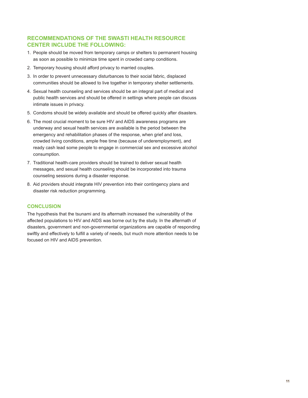# **RECOMMENDATIONS OF THE SWASTI HEALTH RESOURCE CENTER INCLUDE THE FOLLOWING:**

- 1. People should be moved from temporary camps or shelters to permanent housing as soon as possible to minimize time spent in crowded camp conditions.
- 2. Temporary housing should afford privacy to married couples.
- 3. In order to prevent unnecessary disturbances to their social fabric, displaced communities should be allowed to live together in temporary shelter settlements.
- 4. Sexual health counseling and services should be an integral part of medical and public health services and should be offered in settings where people can discuss intimate issues in privacy.
- 5. Condoms should be widely available and should be offered quickly after disasters.
- 6. The most crucial moment to be sure HIV and AIDS awareness programs are underway and sexual health services are available is the period between the emergency and rehabilitation phases of the response, when grief and loss, crowded living conditions, ample free time (because of underemployment), and ready cash lead some people to engage in commercial sex and excessive alcohol consumption.
- 7. Traditional health-care providers should be trained to deliver sexual health messages, and sexual health counseling should be incorporated into trauma counseling sessions during a disaster response.
- 8. Aid providers should integrate HIV prevention into their contingency plans and disaster risk reduction programming.

## **CONCLUSION**

The hypothesis that the tsunami and its aftermath increased the vulnerability of the affected populations to HIV and AIDS was borne out by the study. In the aftermath of disasters, government and non-governmental organizations are capable of responding swiftly and effectively to fulfill a variety of needs, but much more attention needs to be focused on HIV and AIDS prevention.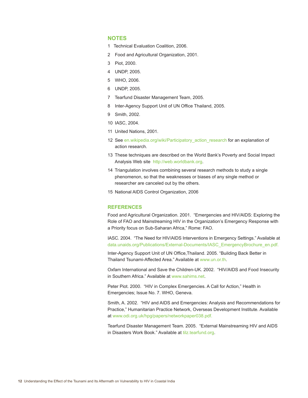## **NOTES**

- 1 Technical Evaluation Coalition, 2006.
- 2 Food and Agricultural Organization, 2001.
- 3 Piot, 2000.
- 4 UNDP, 2005.
- 5 WHO, 2006.
- 6 UNDP, 2005.
- 7 Tearfund Disaster Management Team, 2005.
- 8 Inter-Agency Support Unit of UN Office Thailand, 2005.
- 9 Smith, 2002.
- 10 IASC, 2004.
- 11 United Nations, 2001.
- 12 See en.wikipedia.org/wiki/Participatory\_action\_research for an explanation of action research.
- 13 These techniques are described on the World Bank's Poverty and Social Impact Analysis Web site http://web.worldbank.org.
- 14 Triangulation involves combining several research methods to study a single phenomenon, so that the weaknesses or biases of any single method or researcher are canceled out by the others.
- 15 National AIDS Control Organization, 2006

### **REFERENCES**

Food and Agricultural Organization. 2001. "Emergencies and HIV/AIDS: Exploring the Role of FAO and Mainstreaming HIV in the Organization's Emergency Response with a Priority focus on Sub-Saharan Africa," Rome: FAO.

IASC. 2004. "The Need for HIV/AIDS Interventions in Emergency Settings." Available at data.unaids.org/Publications/External-Documents/IASC\_EmergencyBrochure\_en.pdf.

Inter-Agency Support Unit of UN Office,Thailand. 2005. "Building Back Better in Thailand Tsunami-Affected Area." Available at www.un.or.th.

Oxfam International and Save the Children-UK. 2002. "HIV/AIDS and Food Insecurity in Southern Africa." Available at www.sahims.net.

Peter Piot. 2000. "HIV in Complex Emergencies. A Call for Action," Health in Emergencies; Issue No. 7. WHO, Geneva.

Smith, A. 2002. "HIV and AIDS and Emergencies: Analysis and Recommendations for Practice," Humanitarian Practice Network, Overseas Development Institute. Available at www.odi.org.uk/hpg/papers/networkpaper038.pdf.

Tearfund Disaster Management Team. 2005. "External Mainstreaming HIV and AIDS in Disasters Work Book." Available at tilz.tearfund.org.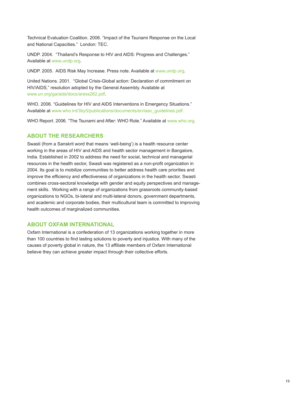Technical Evaluation Coalition. 2006. "Impact of the Tsunami Response on the Local and National Capacities." London: TEC.

UNDP. 2004. "Thailand's Response to HIV and AIDS: Progress and Challenges." Available at www.undp.org.

UNDP. 2005. AIDS Risk May Increase. Press note. Available at www.undp.org.

United Nations. 2001. "Global Crisis-Global action: Declaration of commitment on HIV/AIDS," resolution adopted by the General Assembly. Available at www.un.org/ga/aids/docs/aress262.pdf.

WHO. 2006. "Guidelines for HIV and AIDS Interventions in Emergency Situations." Available at www.who.int/3by5/publications/documents/en/iasc\_guidelines.pdf.

WHO Report. 2006. "The Tsunami and After: WHO Role." Available at www.who.org.

## **ABOUT THE RESEARCHERS**

Swasti (from a Sanskrit word that means 'well-being') is a health resource center working in the areas of HIV and AIDS and health sector management in Bangalore, India. Established in 2002 to address the need for social, technical and managerial resources in the health sector, Swasti was registered as a non-profit organization in 2004. Its goal is to mobilize communities to better address health care priorities and improve the efficiency and effectiveness of organizations in the health sector. Swasti combines cross-sectoral knowledge with gender and equity perspectives and management skills. Working with a range of organizations from grassroots community-based organizations to NGOs, bi-lateral and multi-lateral donors, government departments, and academic and corporate bodies, their multicultural team is committed to improving health outcomes of marginalized communities.

# **ABOUT OXFAM INTERNATIONAL**

Oxfam International is a confederation of 13 organizations working together in more than 100 countries to find lasting solutions to poverty and injustice. With many of the causes of poverty global in nature, the 13 affiliate members of Oxfam International believe they can achieve greater impact through their collective efforts.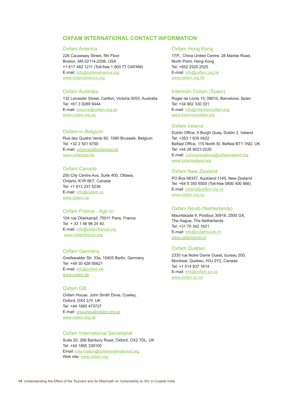# **OXFAM INTERNATIONAL CONTACT INFORMATION**

#### Oxfam America

226 Causeway Street, 5th Floor Boston, MA 02114-2206, USA +1 617 482 1211 (Toll-free 1 800 77 OXFAM) E-mail: info@oxfamamerica.org www.oxfamamerica.org

### Oxfam Australia

132 Leicester Street, Carlton, Victoria 3053, Australia Tel: +61 3 9289 9444 E-mail: enquire@oxfam.org.au www.oxfam.org.au

#### Oxfam-in-Belgium

Rue des Quatre Vents 60, 1080 Brussels, Belgium Tel: +32 2 501 6700 E-mail: oxfamsol@oxfamsol.be www.oxfamsol.be

## Oxfam Canada

250 City Centre Ave, Suite 400, Ottawa, Ontario, K1R 6K7, Canada Tel: +1 613 237 5236 E-mail: info@oxfam.ca www.oxfam.ca

### Oxfam France - Agir ici

104 rue Oberkampf, 75011 Paris, France Tel: + 33 1 56 98 24 40. E-mail: info@oxfamfrance.org www.oxfamfrance.org

### Oxfam Germany

Greifswalder Str. 33a, 10405 Berlin, Germany Tel: +49 30 428 50621 E-mail: info@oxfam.de www.oxfam.de

### Oxfam GB

Oxfam House, John Smith Drive, Cowley, Oxford, OX4 2JY, UK Tel: +44 1865 473727 E-mail: enquiries@oxfam.org.uk www.oxfam.org.uk

### Oxfam International Secretariat

Suite 20, 266 Banbury Road, Oxford, OX2 7DL, UK Tel: +44 1865 339100 Email: information@oxfaminternational.org. Web site: www.oxfam.org

#### Oxfam Hong Kong

17/F., China United Centre, 28 Marble Road, North Point, Hong Kong Tel: +852 2520 2525 E-mail: info@oxfam.org.hk www.oxfam.org.hk

#### Intermón Oxfam (Spain)

Roger de Llúria 15, 08010, Barcelona, Spain Tel: +34 902 330 331 E-mail: info@intermonoxfam.org www.intermonoxfam.org

#### Oxfam Ireland

Dublin Office, 9 Burgh Quay, Dublin 2, Ireland Tel: +353 1 635 0422 Belfast Office, 115 North St, Belfast BT1 1ND, UK Tel: +44 28 9023 0220 E-mail: communications@oxfamireland.org www.oxfamireland.org

## Oxfam New Zealand

PO Box 68357, Auckland 1145, New Zealand Tel: +64 9 355 6500 (Toll-free 0800 400 666) E-mail: oxfam@oxfam.org.nz www.oxfam.org.nz

### Oxfam Novib (Netherlands)

Mauritskade 9, Postbus 30919, 2500 GX, The Hague, The Netherlands Tel: +31 70 342 1621 E-mail: info@oxfamnovib.nl www.oxfamnovib.nl

## Oxfam Québec

2330 rue Notre Dame Ouest, bureau 200, Montreal, Quebec, H3J 2Y2, Canada Tel: +1 514 937 1614 E-mail: info@oxfam.qc.ca www.oxfam.qc.ca